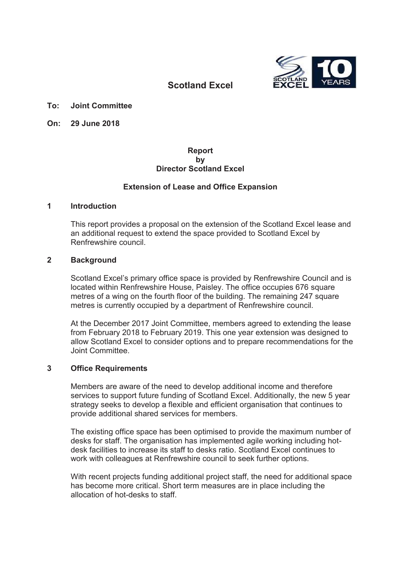

# **Scotland Excel**

- **To: Joint Committee**
- **On: 29 June 2018**

### **Report by Director Scotland Excel**

### **Extension of Lease and Office Expansion**

### **1 Introduction**

This report provides a proposal on the extension of the Scotland Excel lease and an additional request to extend the space provided to Scotland Excel by Renfrewshire council.

### **2 Background**

Scotland Excel's primary office space is provided by Renfrewshire Council and is located within Renfrewshire House, Paisley. The office occupies 676 square metres of a wing on the fourth floor of the building. The remaining 247 square metres is currently occupied by a department of Renfrewshire council.

At the December 2017 Joint Committee, members agreed to extending the lease from February 2018 to February 2019. This one year extension was designed to allow Scotland Excel to consider options and to prepare recommendations for the Joint Committee.

### **3 Office Requirements**

Members are aware of the need to develop additional income and therefore services to support future funding of Scotland Excel. Additionally, the new 5 year strategy seeks to develop a flexible and efficient organisation that continues to provide additional shared services for members.

The existing office space has been optimised to provide the maximum number of desks for staff. The organisation has implemented agile working including hotdesk facilities to increase its staff to desks ratio. Scotland Excel continues to work with colleagues at Renfrewshire council to seek further options.

With recent projects funding additional project staff, the need for additional space has become more critical. Short term measures are in place including the allocation of hot-desks to staff.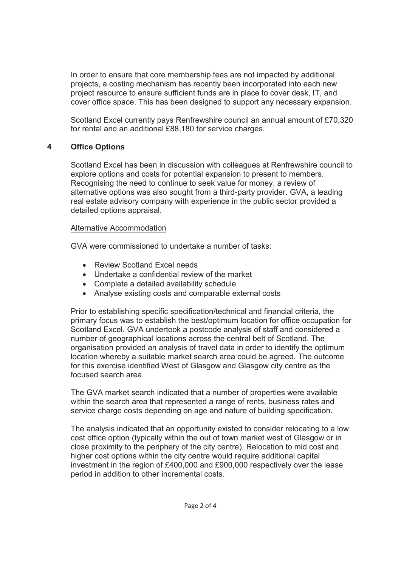In order to ensure that core membership fees are not impacted by additional projects, a costing mechanism has recently been incorporated into each new project resource to ensure sufficient funds are in place to cover desk, IT, and cover office space. This has been designed to support any necessary expansion.

Scotland Excel currently pays Renfrewshire council an annual amount of £70,320 for rental and an additional £88,180 for service charges.

## **4 Office Options**

Scotland Excel has been in discussion with colleagues at Renfrewshire council to explore options and costs for potential expansion to present to members. Recognising the need to continue to seek value for money, a review of alternative options was also sought from a third-party provider. GVA, a leading real estate advisory company with experience in the public sector provided a detailed options appraisal.

## Alternative Accommodation

GVA were commissioned to undertake a number of tasks:

- Review Scotland Excel needs
- $\bullet$  Undertake a confidential review of the market
- Complete a detailed availability schedule
- Analyse existing costs and comparable external costs

Prior to establishing specific specification/technical and financial criteria, the primary focus was to establish the best/optimum location for office occupation for Scotland Excel. GVA undertook a postcode analysis of staff and considered a number of geographical locations across the central belt of Scotland. The organisation provided an analysis of travel data in order to identify the optimum location whereby a suitable market search area could be agreed. The outcome for this exercise identified West of Glasgow and Glasgow city centre as the focused search area.

The GVA market search indicated that a number of properties were available within the search area that represented a range of rents, business rates and service charge costs depending on age and nature of building specification.

The analysis indicated that an opportunity existed to consider relocating to a low cost office option (typically within the out of town market west of Glasgow or in close proximity to the periphery of the city centre). Relocation to mid cost and higher cost options within the city centre would require additional capital investment in the region of £400,000 and £900,000 respectively over the lease period in addition to other incremental costs.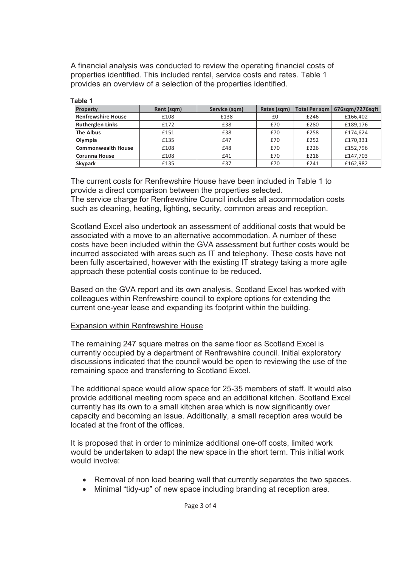A financial analysis was conducted to review the operating financial costs of properties identified. This included rental, service costs and rates. Table 1 provides an overview of a selection of the properties identified.

| <b>Property</b>           | Rent (sqm) | Service (sqm) | Rates (sqm) | <b>Total Per sqm</b> | 676sqm/7276sqft |
|---------------------------|------------|---------------|-------------|----------------------|-----------------|
| <b>Renfrewshire House</b> | £108       | £138          | £0          | £246                 | £166,402        |
| <b>Rutherglen Links</b>   | £172       | £38           | £70         | £280                 | £189,176        |
| <b>The Albus</b>          | £151       | £38           | £70         | £258                 | £174,624        |
| Olympia                   | £135       | £47           | £70         | £252                 | £170,331        |
| <b>Commonwealth House</b> | £108       | £48           | £70         | £226                 | £152,796        |
| Corunna House             | £108       | £41           | £70         | £218                 | £147,703        |
| <b>Skypark</b>            | £135       | £37           | £70         | £241                 | £162,982        |

**Table 1** 

The current costs for Renfrewshire House have been included in Table 1 to provide a direct comparison between the properties selected. The service charge for Renfrewshire Council includes all accommodation costs

such as cleaning, heating, lighting, security, common areas and reception.

Scotland Excel also undertook an assessment of additional costs that would be associated with a move to an alternative accommodation. A number of these costs have been included within the GVA assessment but further costs would be incurred associated with areas such as IT and telephony. These costs have not been fully ascertained, however with the existing IT strategy taking a more agile approach these potential costs continue to be reduced.

Based on the GVA report and its own analysis, Scotland Excel has worked with colleagues within Renfrewshire council to explore options for extending the current one-year lease and expanding its footprint within the building.

### Expansion within Renfrewshire House

The remaining 247 square metres on the same floor as Scotland Excel is currently occupied by a department of Renfrewshire council. Initial exploratory discussions indicated that the council would be open to reviewing the use of the remaining space and transferring to Scotland Excel.

The additional space would allow space for 25-35 members of staff. It would also provide additional meeting room space and an additional kitchen. Scotland Excel currently has its own to a small kitchen area which is now significantly over capacity and becoming an issue. Additionally, a small reception area would be located at the front of the offices.

It is proposed that in order to minimize additional one-off costs, limited work would be undertaken to adapt the new space in the short term. This initial work would involve:

- Removal of non load bearing wall that currently separates the two spaces.
- Minimal "tidy-up" of new space including branding at reception area.